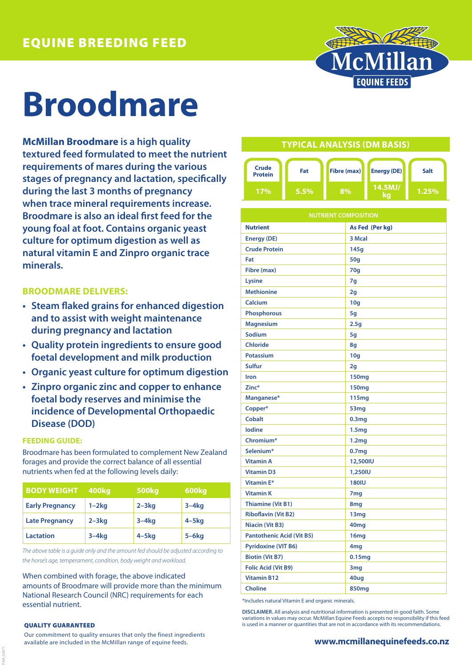

# **Broodmare**

**McMillan Broodmare is a high quality textured feed formulated to meet the nutrient requirements of mares during the various stages of pregnancy and lactation, specifically during the last 3 months of pregnancy when trace mineral requirements increase. Broodmare is also an ideal first feed for the young foal at foot. Contains organic yeast culture for optimum digestion as well as natural vitamin E and Zinpro organic trace minerals.**

## **BROODMARE DELIVERS:**

- **• Steam flaked grains for enhanced digestion and to assist with weight maintenance during pregnancy and lactation**
- **• Quality protein ingredients to ensure good foetal development and milk production**
- **• Organic yeast culture for optimum digestion**
- **• Zinpro organic zinc and copper to enhance foetal body reserves and minimise the incidence of Developmental Orthopaedic Disease (DOD)**

### **FEEDING GUIDE:**

Broodmare has been formulated to complement New Zealand forages and provide the correct balance of all essential nutrients when fed at the following levels daily:

| <b>BODY WEIGHT</b>     | 400kg     | <b>500kg</b> | 600kg      |
|------------------------|-----------|--------------|------------|
| <b>Early Pregnancy</b> | $1-2kq$   | $2 - 3kq$    | $3-4kq$    |
| <b>Late Pregnancy</b>  | $2 - 3kq$ | $3-4kq$      | $4 - 5$ kg |
| <b>Lactation</b>       | $3-4kq$   | $4 - 5$ kg   | $5 - 6$ kg |

*The above table is a guide only and the amount fed should be adjusted according to the horse's age, temperament, condition, body weight and workload.*

When combined with forage, the above indicated amounts of Broodmare will provide more than the minimum National Research Council (NRC) requirements for each essential nutrient.

#### QUALITY GUARANTEED

FAR\_04971

Our commitment to quality ensures that only the finest ingredients available are included in the McMillan range of equine feeds.

## **TYPICAL ANALYSIS (DM BASIS)**



| <b>NUTRIENT COMPOSITION</b>      |                   |  |
|----------------------------------|-------------------|--|
| <b>Nutrient</b>                  | As Fed (Per kg)   |  |
| <b>Energy (DE)</b>               | 3 Mcal            |  |
| <b>Crude Protein</b>             | 145q              |  |
| Fat                              | <b>50g</b>        |  |
| Fibre (max)                      | 70 <sub>g</sub>   |  |
| Lysine                           | 7q                |  |
| <b>Methionine</b>                | 2g                |  |
| Calcium                          | 10 <sub>g</sub>   |  |
| <b>Phosphorous</b>               | 5g                |  |
| <b>Magnesium</b>                 | 2.5 <sub>g</sub>  |  |
| Sodium                           | 5g                |  |
| <b>Chloride</b>                  | 8g                |  |
| <b>Potassium</b>                 | 10 <sub>g</sub>   |  |
| Sulfur                           | 2g                |  |
| <b>Iron</b>                      | 150mg             |  |
| Zinc*                            | <b>150mg</b>      |  |
| Manganese*                       | 115 <sub>mg</sub> |  |
| Copper*                          | 53 <sub>mg</sub>  |  |
| <b>Cobalt</b>                    | 0.3 <sub>mg</sub> |  |
| <b>lodine</b>                    | 1.5 <sub>mg</sub> |  |
| Chromium*                        | 1.2 <sub>mg</sub> |  |
| Selenium*                        | 0.7 <sub>mg</sub> |  |
| <b>Vitamin A</b>                 | 12,500IU          |  |
| <b>Vitamin D3</b>                | 1,250IU           |  |
| <b>Vitamin E*</b>                | <b>180IU</b>      |  |
| <b>Vitamin K</b>                 | 7 <sub>mg</sub>   |  |
| <b>Thiamine (Vit B1)</b>         | 8mg               |  |
| <b>Riboflavin (Vit B2)</b>       | 13mg              |  |
| Niacin (Vit B3)                  | 40mg              |  |
| <b>Pantothenic Acid (Vit B5)</b> | 16mg              |  |
| <b>Pyridoxine (VIT B6)</b>       | 4mg               |  |
| <b>Biotin (Vit B7)</b>           | 0.15mg            |  |
| <b>Folic Acid (Vit B9)</b>       | 3mg               |  |
| <b>Vitamin B12</b>               | 40ug              |  |
| <b>Choline</b>                   | 850mg             |  |

\*Includes natural Vitamin E and organic minerals.

**DISCLAIMER.** All analysis and nutritional information is presented in good faith. Some variations in values may occur. McMillan Equine Feeds accepts no responsibility if this feed is used in a manner or quantities that are not in accordance with its recommendations.

### **www.mcmillanequinefeeds.co.nz**